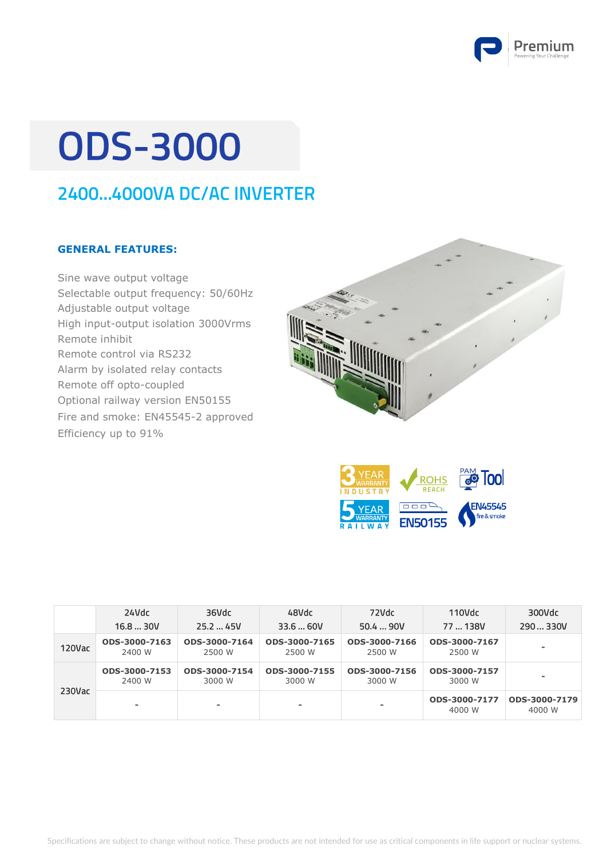

# **ODS-3000**

### 2400...4000VA DC/AC INVERTER

#### **GENERAL FEATURES:**

Sine wave output voltage Selectable output frequency: 50/60Hz Adjustable output voltage High input-output isolation 3000Vrms Remote inhibit Remote control via RS232 Alarm by isolated relay contacts Remote off opto-coupled Optional railway version EN50155 Fire and smoke: EN45545-2 approved Efficiency up to 91%





|           | 24Vdc                   | 36Vdc                   | 48Vdc                   | 72Vdc                   | $110$ Vdc               | 300Vdc                  |
|-----------|-------------------------|-------------------------|-------------------------|-------------------------|-------------------------|-------------------------|
|           | 16.830V                 | 25.245V                 | 33.660V                 | 50.490V                 | 77  138V                | 290  330V               |
| 120Vac    | ODS-3000-7163<br>2400 W | ODS-3000-7164<br>2500 W | ODS-3000-7165<br>2500 W | ODS-3000-7166<br>2500 W | ODS-3000-7167<br>2500 W |                         |
|           | ODS-3000-7153<br>2400 W | ODS-3000-7154<br>3000 W | ODS-3000-7155<br>3000 W | ODS-3000-7156<br>3000 W | ODS-3000-7157<br>3000 W |                         |
| $230$ Vac |                         | ۰                       | ۰                       | ۰                       | ODS-3000-7177<br>4000 W | ODS-3000-7179<br>4000 W |

Specifications are subject to change without notice. These products are not intended for use as critical components in life support or nuclear systems.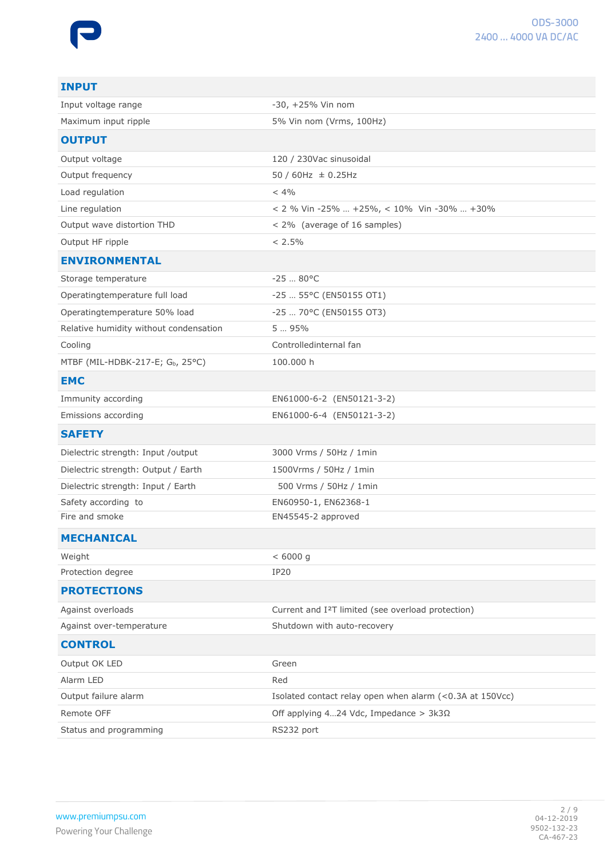| <b>INPUT</b>                           |                                                                |
|----------------------------------------|----------------------------------------------------------------|
| Input voltage range                    | $-30, +25%$ Vin nom                                            |
| Maximum input ripple                   | 5% Vin nom (Vrms, 100Hz)                                       |
| <b>OUTPUT</b>                          |                                                                |
| Output voltage                         | 120 / 230Vac sinusoidal                                        |
| Output frequency                       | $50 / 60$ Hz $\pm 0.25$ Hz                                     |
| Load regulation                        | $< 4\%$                                                        |
| Line regulation                        | < 2 % Vin -25%  +25%, < 10% Vin -30%  +30%                     |
| Output wave distortion THD             | < 2% (average of 16 samples)                                   |
| Output HF ripple                       | $< 2.5\%$                                                      |
| <b>ENVIRONMENTAL</b>                   |                                                                |
| Storage temperature                    | $-2580^{\circ}C$                                               |
| Operatingtemperature full load         | -25  55°C (EN50155 OT1)                                        |
| Operatingtemperature 50% load          | -25  70°C (EN50155 OT3)                                        |
| Relative humidity without condensation | 5  95%                                                         |
| Cooling                                | Controlledinternal fan                                         |
| MTBF (MIL-HDBK-217-E; Gb, 25°C)        | 100.000 h                                                      |
| <b>EMC</b>                             |                                                                |
| Immunity according                     | EN61000-6-2 (EN50121-3-2)                                      |
| Emissions according                    | EN61000-6-4 (EN50121-3-2)                                      |
| <b>SAFETY</b>                          |                                                                |
| Dielectric strength: Input /output     | 3000 Vrms / 50Hz / 1min                                        |
| Dielectric strength: Output / Earth    | 1500Vrms / 50Hz / 1min                                         |
| Dielectric strength: Input / Earth     | 500 Vrms / 50Hz / 1min                                         |
| Safety according to                    | EN60950-1, EN62368-1                                           |
| Fire and smoke                         | EN45545-2 approved                                             |
| <b>MECHANICAL</b>                      |                                                                |
| Weight                                 | < 6000 g                                                       |
| Protection degree                      | <b>IP20</b>                                                    |
| <b>PROTECTIONS</b>                     |                                                                |
| Against overloads                      | Current and I <sup>2</sup> T limited (see overload protection) |
| Against over-temperature               | Shutdown with auto-recovery                                    |
| <b>CONTROL</b>                         |                                                                |
| Output OK LED                          | Green                                                          |
| Alarm LED                              | Red                                                            |
| Output failure alarm                   | Isolated contact relay open when alarm (<0.3A at 150Vcc)       |
| Remote OFF                             | Off applying 424 Vdc, Impedance > $3k3\Omega$                  |
| Status and programming                 | RS232 port                                                     |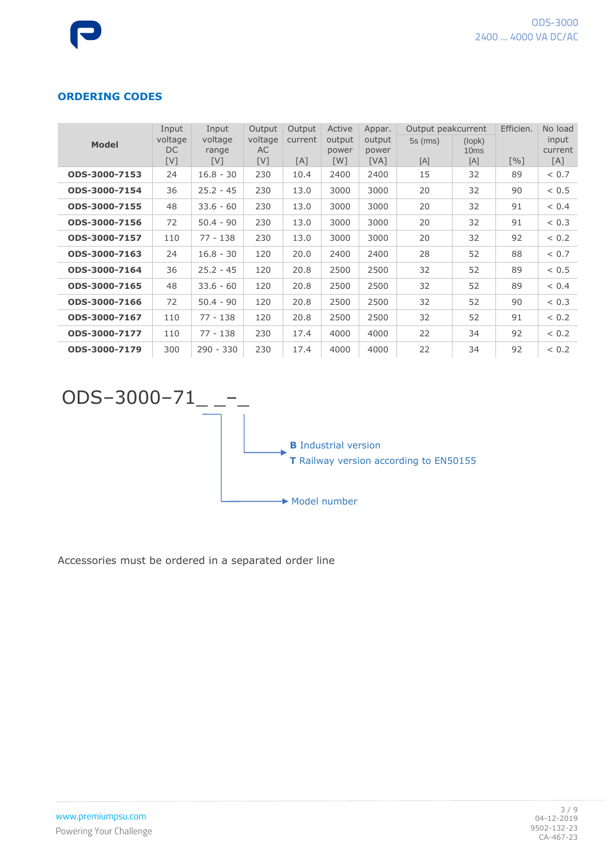#### **ORDERING CODES**

| <b>Model</b>  | Input<br>voltage<br>DC.<br>[V] | Input<br>voltage<br>range<br>[V] | Output<br>voltage<br>AC<br>[V] | Output<br>current<br>[A] | Active<br>output<br>power<br>[W] | Appar.<br>output<br>power<br>[VA] | Output peakcurrent<br>$5s$ (rms)<br>[A] | (logpk)<br>10 <sub>ms</sub><br>[A] | Efficien.<br>$\lceil \sqrt{96} \rceil$ | No load<br>input<br>current<br>[A] |
|---------------|--------------------------------|----------------------------------|--------------------------------|--------------------------|----------------------------------|-----------------------------------|-----------------------------------------|------------------------------------|----------------------------------------|------------------------------------|
| ODS-3000-7153 | 24                             | $16.8 - 30$                      | 230                            | 10.4                     | 2400                             | 2400                              | 15                                      | 32                                 | 89                                     | < 0.7                              |
| ODS-3000-7154 | 36                             | $25.2 - 45$                      | 230                            | 13.0                     | 3000                             | 3000                              | 20                                      | 32                                 | 90                                     | < 0.5                              |
| ODS-3000-7155 | 48                             | $33.6 - 60$                      | 230                            | 13.0                     | 3000                             | 3000                              | 20                                      | 32                                 | 91                                     | < 0.4                              |
| ODS-3000-7156 | 72                             | $50.4 - 90$                      | 230                            | 13.0                     | 3000                             | 3000                              | 20                                      | 32                                 | 91                                     | < 0.3                              |
| ODS-3000-7157 | 110                            | $77 - 138$                       | 230                            | 13.0                     | 3000                             | 3000                              | 20                                      | 32                                 | 92                                     | < 0.2                              |
| ODS-3000-7163 | 24                             | $16.8 - 30$                      | 120                            | 20.0                     | 2400                             | 2400                              | 28                                      | 52                                 | 88                                     | < 0.7                              |
| ODS-3000-7164 | 36                             | $25.2 - 45$                      | 120                            | 20.8                     | 2500                             | 2500                              | 32                                      | 52                                 | 89                                     | < 0.5                              |
| ODS-3000-7165 | 48                             | $33.6 - 60$                      | 120                            | 20.8                     | 2500                             | 2500                              | 32                                      | 52                                 | 89                                     | < 0.4                              |
| ODS-3000-7166 | 72                             | $50.4 - 90$                      | 120                            | 20.8                     | 2500                             | 2500                              | 32                                      | 52                                 | 90                                     | < 0.3                              |
| ODS-3000-7167 | 110                            | $77 - 138$                       | 120                            | 20.8                     | 2500                             | 2500                              | 32                                      | 52                                 | 91                                     | < 0.2                              |
| ODS-3000-7177 | 110                            | $77 - 138$                       | 230                            | 17.4                     | 4000                             | 4000                              | 22                                      | 34                                 | 92                                     | < 0.2                              |
| ODS-3000-7179 | 300                            | $290 - 330$                      | 230                            | 17.4                     | 4000                             | 4000                              | 22                                      | 34                                 | 92                                     | < 0.2                              |



Accessories must be ordered in a separated order line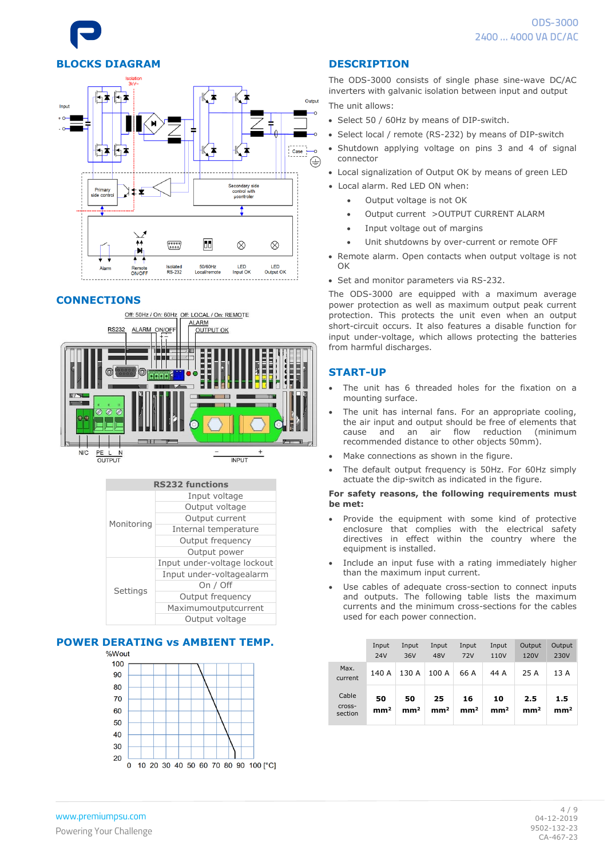# **BLOCKS DIAGRAM**



#### **CONNECTIONS**





#### **POWER DERATING vs AMBIENT TEMP.**



#### **DESCRIPTION**

The ODS-3000 consists of single phase sine-wave DC/AC inverters with galvanic isolation between input and output The unit allows:

- Select 50 / 60Hz by means of DIP-switch.
- Select local / remote (RS-232) by means of DIP-switch
- Shutdown applying voltage on pins 3 and 4 of signal connector
- Local signalization of Output OK by means of green LED
- Local alarm. Red LED ON when:
	- Output voltage is not OK
	- Output current > OUTPUT CURRENT ALARM
	- Input voltage out of margins
	- Unit shutdowns by over-current or remote OFF
- Remote alarm. Open contacts when output voltage is not OK
- Set and monitor parameters via RS-232.

The ODS-3000 are equipped with a maximum average power protection as well as maximum output peak current protection. This protects the unit even when an output short-circuit occurs. It also features a disable function for input under-voltage, which allows protecting the batteries from harmful discharges.

#### **START-UP**

- The unit has 6 threaded holes for the fixation on a mounting surface.
- The unit has internal fans. For an appropriate cooling, the air input and output should be free of elements that<br>cause and an air flow reduction (minimum cause and an air flow reduction (minimum recommended distance to other objects 50mm).
- Make connections as shown in the figure.
- The default output frequency is 50Hz. For 60Hz simply actuate the dip-switch as indicated in the figure.

#### **For safety reasons, the following requirements must be met:**

- Provide the equipment with some kind of protective enclosure that complies with the electrical safety directives in effect within the country where the equipment is installed.
- Include an input fuse with a rating immediately higher than the maximum input current.
- Use cables of adequate cross-section to connect inputs and outputs. The following table lists the maximum currents and the minimum cross-sections for the cables used for each power connection.

|                            | Input<br>24V          | Input<br>36V          | Input<br>48V          | Input<br><b>72V</b>   | Input<br>110V         | Output<br>120V         | Output<br>230V         |
|----------------------------|-----------------------|-----------------------|-----------------------|-----------------------|-----------------------|------------------------|------------------------|
| Max.<br>current            | 140 A                 | 130 A                 | 100 A                 | 66 A                  | 44 A                  | 25 A                   | 13 A                   |
| Cable<br>Cross-<br>section | 50<br>mm <sup>2</sup> | 50<br>mm <sup>2</sup> | 25<br>mm <sup>2</sup> | 16<br>mm <sup>2</sup> | 10<br>mm <sup>2</sup> | 2.5<br>mm <sup>2</sup> | 1.5<br>mm <sup>2</sup> |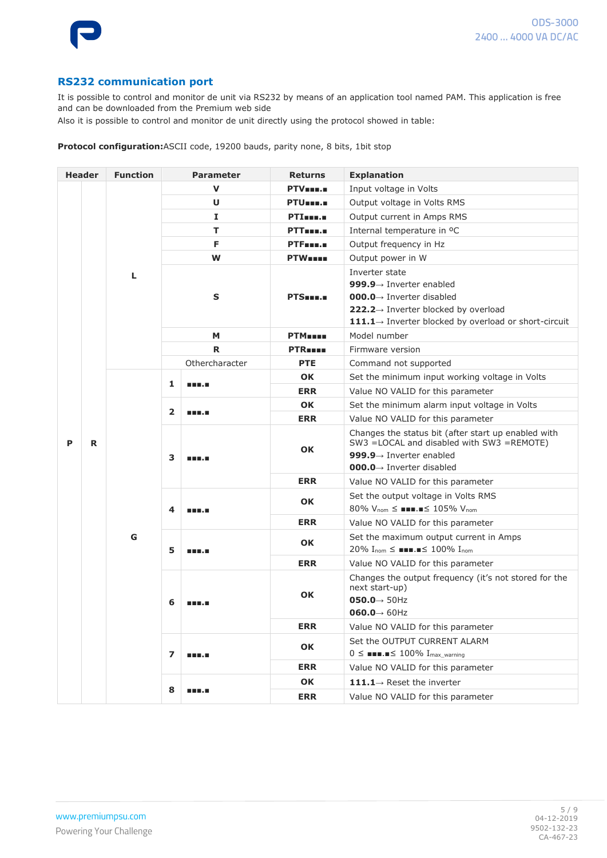

#### **RS232 communication port**

It is possible to control and monitor de unit via RS232 by means of an application tool named PAM. This application is free and can be downloaded from the Premium web side

Also it is possible to control and monitor de unit directly using the protocol showed in table:

**Protocol configuration:**ASCII code, 19200 bauds, parity none, 8 bits, 1bit stop

|  | <b>Header</b> | <b>Function</b> |                         | <b>Parameter</b>     | <b>Explanation</b><br><b>Returns</b>           |                                                                                                                                                     |
|--|---------------|-----------------|-------------------------|----------------------|------------------------------------------------|-----------------------------------------------------------------------------------------------------------------------------------------------------|
|  |               |                 |                         | v                    | PTV <sub>uu</sub> .                            | Input voltage in Volts                                                                                                                              |
|  |               |                 |                         | U                    | PTU <sub>mm.m</sub>                            | Output voltage in Volts RMS                                                                                                                         |
|  |               |                 | Ι.                      |                      | PTI <sub>mm</sub> .                            | Output current in Amps RMS                                                                                                                          |
|  | L             |                 | т                       | PTTmm.m              | Internal temperature in <sup>o</sup> C         |                                                                                                                                                     |
|  |               |                 | F                       | PTF <sub>mmm</sub> . | Output frequency in Hz                         |                                                                                                                                                     |
|  |               |                 | W                       | <b>PTW</b> ====      | Output power in W                              |                                                                                                                                                     |
|  |               |                 |                         |                      | Inverter state                                 |                                                                                                                                                     |
|  |               |                 |                         |                      | 999.9 $\rightarrow$ Inverter enabled           |                                                                                                                                                     |
|  |               |                 |                         | $\mathbf S$          | PTS <b>HOLE</b>                                | <b>000.0</b> $\rightarrow$ Inverter disabled                                                                                                        |
|  |               |                 |                         |                      |                                                | 222.2→ Inverter blocked by overload                                                                                                                 |
|  |               |                 |                         |                      |                                                | 111.1 $\rightarrow$ Inverter blocked by overload or short-circuit                                                                                   |
|  |               |                 | М                       | <b>PTM</b>           | Model number                                   |                                                                                                                                                     |
|  |               |                 | R                       | <b>PTR</b>           | Firmware version                               |                                                                                                                                                     |
|  |               |                 |                         | Othercharacter       | <b>PTE</b>                                     | Command not supported                                                                                                                               |
|  |               |                 |                         | <b>OK</b>            | Set the minimum input working voltage in Volts |                                                                                                                                                     |
|  |               |                 | 1                       | <b>HELL</b>          | <b>ERR</b>                                     | Value NO VALID for this parameter                                                                                                                   |
|  | P<br>R        | $\overline{2}$  | <b>HELL</b>             | <b>OK</b>            | Set the minimum alarm input voltage in Volts   |                                                                                                                                                     |
|  |               |                 |                         | <b>ERR</b>           | Value NO VALID for this parameter              |                                                                                                                                                     |
|  |               |                 | 3                       | <b>HELL</b>          | <b>OK</b>                                      | Changes the status bit (after start up enabled with<br>SW3 = LOCAL and disabled with SW3 = REMOTE)                                                  |
|  |               |                 |                         |                      |                                                | 999.9 $\rightarrow$ Inverter enabled                                                                                                                |
|  |               |                 |                         |                      |                                                | $000.0 \rightarrow$ Inverter disabled                                                                                                               |
|  |               |                 |                         |                      | <b>ERR</b>                                     | Value NO VALID for this parameter                                                                                                                   |
|  |               |                 |                         | <b>HELL</b>          | <b>OK</b>                                      | Set the output voltage in Volts RMS                                                                                                                 |
|  |               |                 | 4                       |                      |                                                | 80% $V_{nom} \leq \blacksquare \blacksquare \blacksquare \leq 105\%$ $V_{nom}$                                                                      |
|  |               |                 |                         |                      | <b>ERR</b>                                     | Value NO VALID for this parameter                                                                                                                   |
|  |               | G               | 5                       | <b>HER.H</b>         | <b>OK</b>                                      | Set the maximum output current in Amps<br>20% $I_{\text{nom}} \leq \blacksquare \blacksquare \blacksquare \blacksquare \leq 100\%$ $I_{\text{nom}}$ |
|  |               |                 |                         |                      | <b>ERR</b>                                     | Value NO VALID for this parameter                                                                                                                   |
|  |               |                 | 6                       |                      | <b>OK</b>                                      | Changes the output frequency (it's not stored for the<br>next start-up)<br>$050.0 \rightarrow 50$ Hz<br>$060.0 \rightarrow 60$ Hz                   |
|  |               |                 |                         |                      | <b>ERR</b>                                     | Value NO VALID for this parameter                                                                                                                   |
|  |               |                 |                         | 888.E                |                                                | Set the OUTPUT CURRENT ALARM                                                                                                                        |
|  |               |                 | $\overline{\mathbf{z}}$ |                      | OK                                             | $0 \leq$ <b>Norman</b> $\leq 100\%$ Imax_warning                                                                                                    |
|  |               |                 |                         |                      | <b>ERR</b>                                     | Value NO VALID for this parameter                                                                                                                   |
|  |               |                 |                         |                      | OK                                             | $111.1 \rightarrow$ Reset the inverter                                                                                                              |
|  |               | 8               | 88 H.A                  | <b>ERR</b>           | Value NO VALID for this parameter              |                                                                                                                                                     |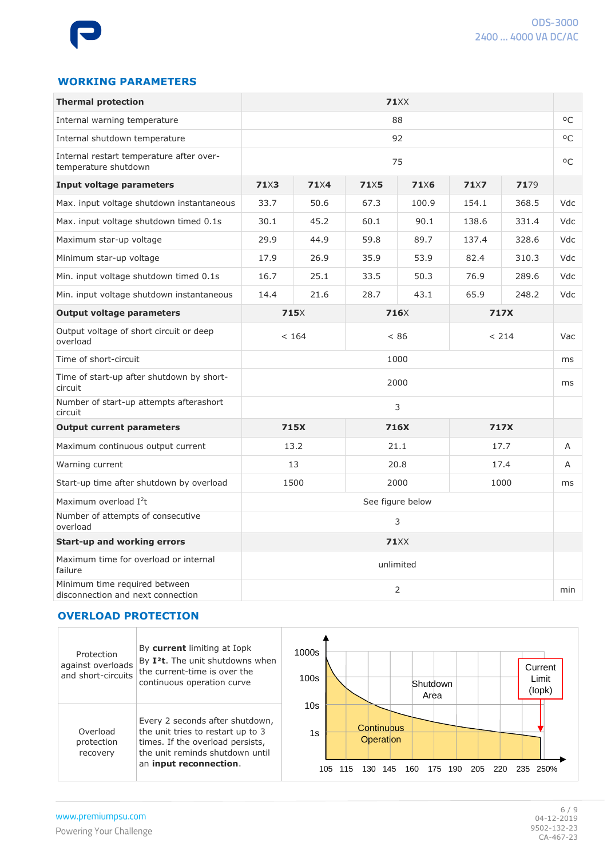### **WORKING PARAMETERS**

| <b>Thermal protection</b>                                          | <b>71</b> XX     |              |             |                  |             |       |     |  |
|--------------------------------------------------------------------|------------------|--------------|-------------|------------------|-------------|-------|-----|--|
| Internal warning temperature                                       |                  |              | 88          |                  |             |       |     |  |
| Internal shutdown temperature                                      | 92               |              |             |                  |             | οC    |     |  |
| Internal restart temperature after over-<br>temperature shutdown   |                  | 75           |             |                  |             |       |     |  |
| Input voltage parameters                                           | 71 <sub>X3</sub> | 71X4         | <b>71×5</b> | <b>71×6</b>      | <b>71×7</b> | 7179  |     |  |
| Max. input voltage shutdown instantaneous                          | 33.7             | 50.6         | 67.3        | 100.9            | 154.1       | 368.5 | Vdc |  |
| Max. input voltage shutdown timed 0.1s                             | 30.1             | 45.2         | 60.1        | 90.1             | 138.6       | 331.4 | Vdc |  |
| Maximum star-up voltage                                            | 29.9             | 44.9         | 59.8        | 89.7             | 137.4       | 328.6 | Vdc |  |
| Minimum star-up voltage                                            | 17.9             | 26.9         | 35.9        | 53.9             | 82.4        | 310.3 | Vdc |  |
| Min. input voltage shutdown timed 0.1s                             | 16.7             | 25.1         | 33.5        | 50.3             | 76.9        | 289.6 | Vdc |  |
| Min. input voltage shutdown instantaneous                          | 14.4             | 21.6         | 28.7        | 43.1             | 65.9        | 248.2 | Vdc |  |
| <b>Output voltage parameters</b>                                   |                  | <b>715</b> X |             | 716X             | 717X        |       |     |  |
| Output voltage of short circuit or deep<br>overload                |                  | < 164        | < 86        |                  | < 214       |       | Vac |  |
| Time of short-circuit                                              |                  |              | 1000        |                  |             |       | ms  |  |
| Time of start-up after shutdown by short-<br>circuit               |                  |              | 2000        |                  |             |       | ms  |  |
| Number of start-up attempts afterashort<br>circuit                 | 3                |              |             |                  |             |       |     |  |
| <b>Output current parameters</b>                                   | 715X             |              | 716X        |                  | 717X        |       |     |  |
| Maximum continuous output current                                  |                  | 13.2         |             | 21.1             |             | 17.7  | Α   |  |
| Warning current                                                    |                  | 13           |             | 20.8             |             | 17.4  | A   |  |
| Start-up time after shutdown by overload                           |                  | 1500         |             | 2000             |             | 1000  | ms  |  |
| Maximum overload I <sup>2</sup> t                                  |                  |              |             | See figure below |             |       |     |  |
| Number of attempts of consecutive<br>overload                      |                  |              |             | 3                |             |       |     |  |
| <b>Start-up and working errors</b>                                 |                  |              |             | <b>71XX</b>      |             |       |     |  |
| Maximum time for overload or internal<br>failure                   |                  |              |             | unlimited        |             |       |     |  |
| Minimum time required between<br>disconnection and next connection |                  |              | 2           |                  |             |       | min |  |

#### **OVERLOAD PROTECTION**

| Protection<br>against overloads<br>and short-circuits | By current limiting at Iopk<br>By I <sup>2</sup> t. The unit shutdowns when<br>the current-time is over the<br>continuous operation curve                             | 1000s<br>100s | Current<br>Limit<br>Shutdown<br>(lopk)<br>Area                                                         |
|-------------------------------------------------------|-----------------------------------------------------------------------------------------------------------------------------------------------------------------------|---------------|--------------------------------------------------------------------------------------------------------|
| Overload<br>protection<br>recovery                    | Every 2 seconds after shutdown,<br>the unit tries to restart up to 3<br>times. If the overload persists,<br>the unit reminds shutdown until<br>an input reconnection. | 10s<br>1s     | Continuous<br>Operation<br>105<br>250%<br>175<br>190<br>205<br>130<br>160<br>235.<br>115<br>145<br>220 |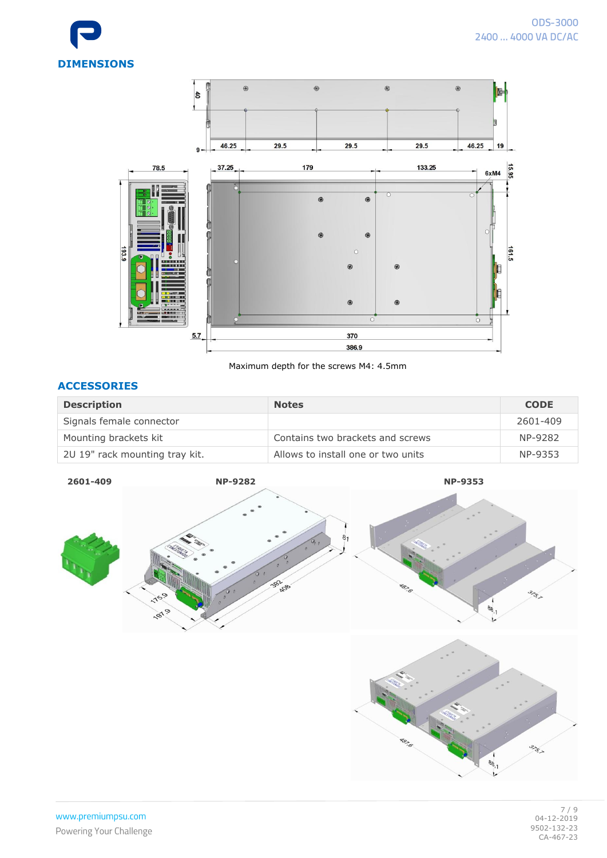



Maximum depth for the screws M4: 4.5mm

#### **ACCESSORIES**

| <b>Description</b>             | <b>Notes</b>                       | <b>CODE</b> |
|--------------------------------|------------------------------------|-------------|
| Signals female connector       |                                    | 2601-409    |
| Mounting brackets kit          | Contains two brackets and screws   | NP-9282     |
| 2U 19" rack mounting tray kit. | Allows to install one or two units | NP-9353     |



**ARCITE** 

SEC

 $\frac{1}{88}$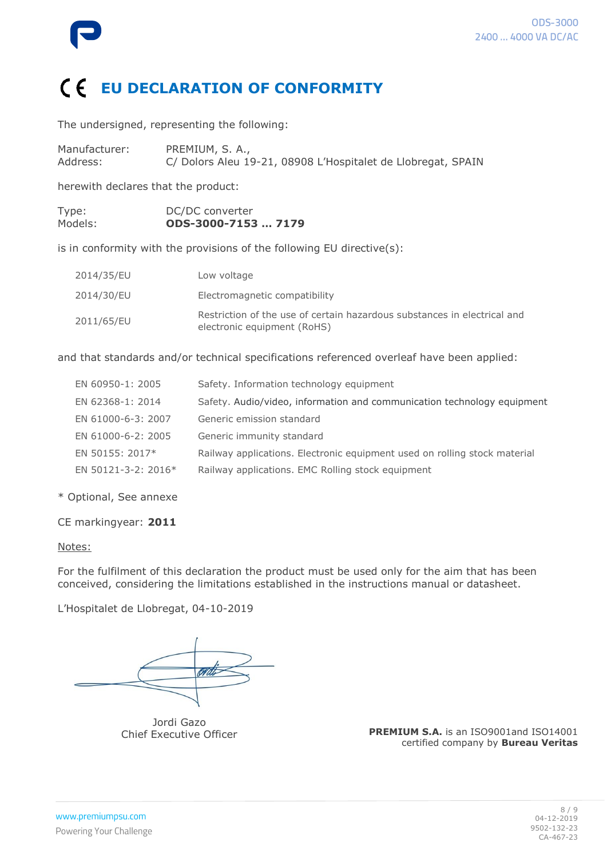

## **EU DECLARATION OF CONFORMITY**

The undersigned, representing the following:

| Manufacturer: | PREMIUM, S. A.,                                              |
|---------------|--------------------------------------------------------------|
| Address:      | C/ Dolors Aleu 19-21, 08908 L'Hospitalet de Llobregat, SPAIN |

herewith declares that the product:

| Type:   | DC/DC converter     |  |
|---------|---------------------|--|
| Models: | ODS-3000-7153  7179 |  |

is in conformity with the provisions of the following EU directive(s):

| 2014/35/EU | Low voltage                                                                                             |
|------------|---------------------------------------------------------------------------------------------------------|
| 2014/30/EU | Electromagnetic compatibility                                                                           |
| 2011/65/EU | Restriction of the use of certain hazardous substances in electrical and<br>electronic equipment (RoHS) |

and that standards and/or technical specifications referenced overleaf have been applied:

| EN 60950-1: 2005    | Safety. Information technology equipment                                  |
|---------------------|---------------------------------------------------------------------------|
| EN 62368-1: 2014    | Safety. Audio/video, information and communication technology equipment   |
| EN 61000-6-3: 2007  | Generic emission standard                                                 |
| EN 61000-6-2: 2005  | Generic immunity standard                                                 |
| EN 50155: 2017*     | Railway applications. Electronic equipment used on rolling stock material |
| EN 50121-3-2: 2016* | Railway applications. EMC Rolling stock equipment                         |

\* Optional, See annexe

CE markingyear: **2011**

#### Notes:

For the fulfilment of this declaration the product must be used only for the aim that has been conceived, considering the limitations established in the instructions manual or datasheet.

L'Hospitalet de Llobregat, 04-10-2019

Jordi Gazo Chief Executive Officer

**PREMIUM S.A.** is an ISO9001and ISO14001 certified company by **Bureau Veritas**